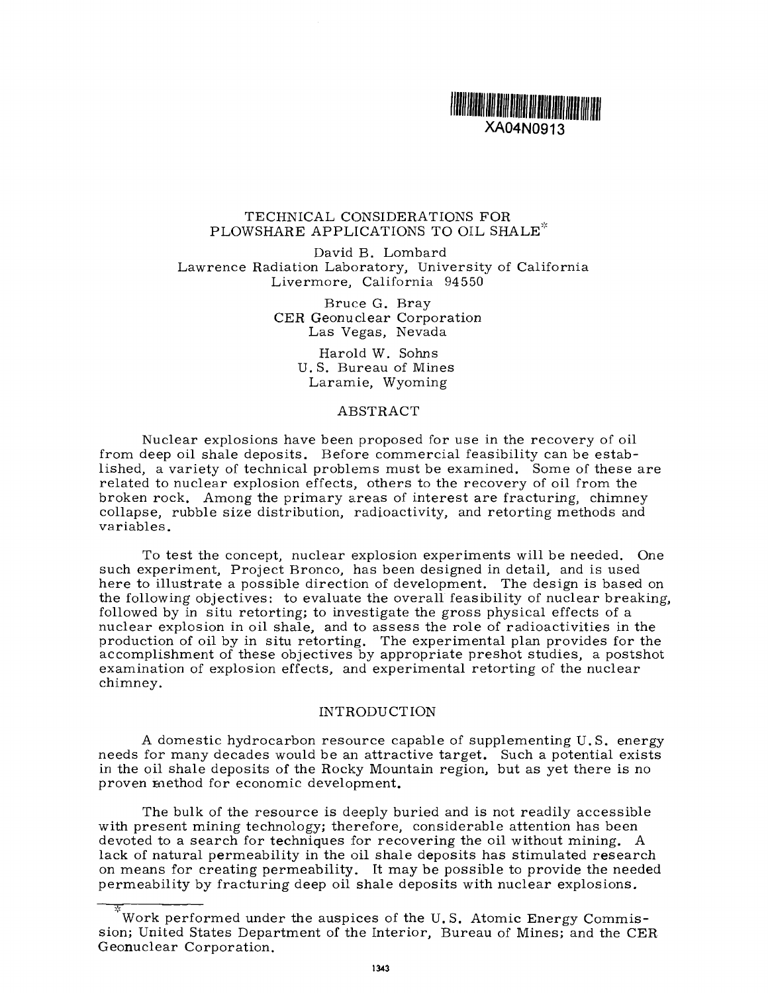

## TECHNICAL CONSIDERATIONS FOR PLOWSHARE APPLICATIONS TO OIL SHALE\*

David B. Lombard Lawrence Radiation Laboratory, University of California Livermore, California 94550

> Bruce G. Bray CER Geonuclear Corporation Las Vegas, Nevada

> > Harold W. Sohns U. S. Bureau of Mines Laramie, Wyoming

#### ABSTRACT

Nuclear explosions have been proposed for use in the recovery of oil from deep oil shale deposits. Before commercial feasibility can be established, a variety of technical problems must be examined. Some of these are related to nuclear explosion effects, others to the recovery of oil from the broken rock. Among the primary areas of interest are fracturing, chimney collapse, rubble size distribution, radioactivity, and retorting methods and variables.

To test the concept, nuclear explosion experiments will be needed. One such experiment, Project Bronco, has been designed in detail, and is used here to illustrate a possible direction of development. The design is based on the following objectives: to evaluate the overall feasibility of nuclear breaking, followed by in situ retorting; to investigate the gross physical effects of a nuclear explosion in oil shale, and to assess the role of radioactivities in the production of oil by in situ retorting. The experimental plan provides for the accomplishment of these objectives by appropriate preshot studies, a postshot examination of explosion effects, and experimental retorting of the nuclear chimney.

## INTRODUCTION

A domestic hydrocarbon resource capable of supplementing U.S. energy needs for many decades would be an attractive target. Such a potential exists in the oil shale deposits of the Rocky Mountain region, but as yet there is no proven method for economic development.

The bulk of the resource is deeply buried and is not readily accessible with present mining technology; therefore, considerable attention has been devoted to a search for techniques for recovering the oil without mining. A lack of natural permeability in the oil shale deposits has stimulated research on means for creating permeability. It may be possible to provide the needed permeability by fracturing deep oil shale deposits with nuclear explosions.

Work performed under the auspices of the U.S. Atomic Energy Commission; United States Department of the Interior, Bureau of Mines; and the CER Geonuclear Corporation.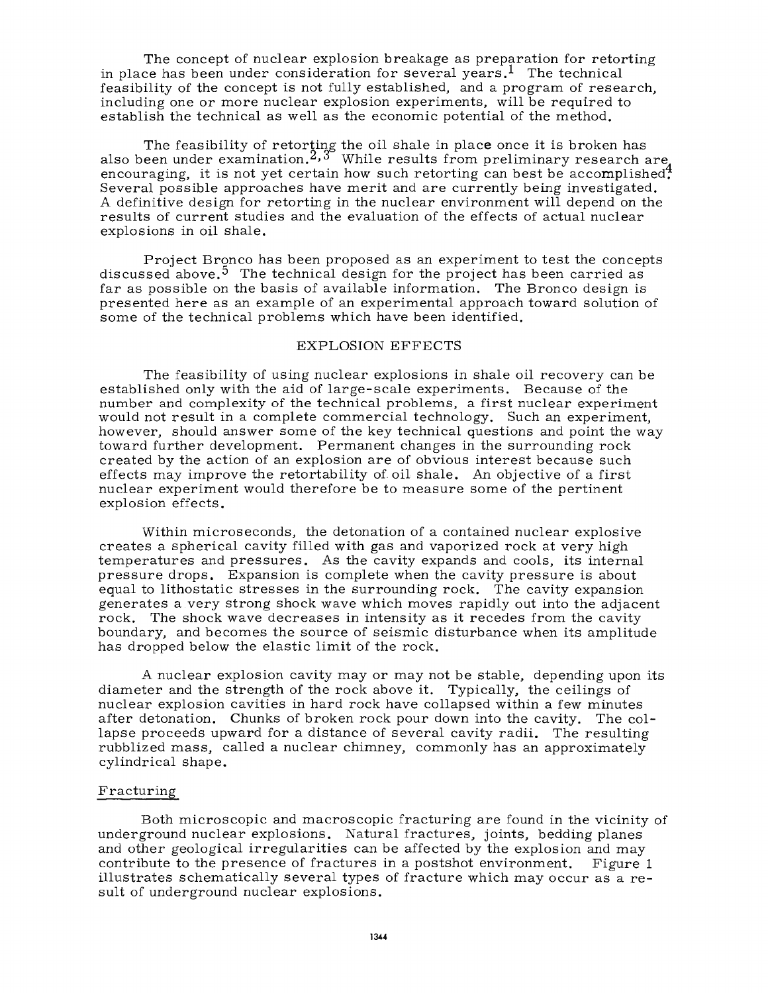The concept of nuclear explosion breakage as preparation for retorting in place has been under consideration for several years.<sup>1</sup> The technical feasibility of the concept is not fully established, and a program of research, including one or more nuclear explosion experiments, will be required to establish the technical as well as the economic potential of the method.

The feasibility of retorting the oil shale in plac<mark>e</mark> once it is broken has also been under examination.*^>*3 While results from preliminary research are encouraging, it is not yet certain how such retorting can best be accomplished. Several possible approaches have merit and are currently being investigated. A definitive design for retorting in the nuclear environment will depend on the results of current studies and the evaluation of the effects of actual nuclear explosions in oil shale.

Project Bronco has been proposed as an experiment to test the concepts discussed above.<sup>5</sup> The technical design for the project has been carried as far as possible on the basis of available information. The Bronco design is presented here as an example of an experimental approach toward solution of some of the technical problems which have been identified.

## EXPLOSION EFFECTS

The feasibility of using nuclear explosions in shale oil recovery can be established only with the aid of large-scale experiments. Because of the number and complexity of the technical problems, a first nuclear experiment would not result in a complete commercial technology. Such an experiment, however, should answer some of the key technical questions and point the way toward further development. Permanent changes in the surrounding rock created by the action of an explosion are of obvious interest because such effects may improve the retortability of. oil shale. An objective of a first nuclear experiment would therefore be to measure some of the pertinent explosion effects.

Within microseconds, the detonation of a contained nuclear explosive creates a spherical cavity filled with gas and vaporized rock at very high temperatures and pressures. As the cavity expands and cools, its internal pressure drops. Expansion is complete when the cavity pressure is about equal to lithostatic stresses in the surrounding rock. The cavity expansion generates a very strong shock wave which moves rapidly out into the adjacent rock. The shock wave decreases in intensity as it recedes from the cavity boundary, and becomes the source of seismic disturbance when its amplitude has dropped below the elastic limit of the rock.

A nuclear explosion cavity may or may not be stable, depending upon its diameter and the strength of the rock above it. Typically, the ceilings of nuclear explosion cavities in hard rock have collapsed within a few minutes after detonation. Chunks of broken rock pour down into the cavity. The collapse proceeds upward for a distance of several cavity radii. The resulting rubblized mass, called a nuclear chimney, commonly has an approximately cylindrical shape.

### Fracturing

Both microscopic and macroscopic fracturing are found in the vicinity of underground nuclear explosions. Natural fractures, joints, bedding planes and other geological irregularities can be affected by the explosion and may contribute to the presence of fractures in a postshot environment. Figure 1 illustrates schematically several types of fracture which may occur as a result of underground nuclear explosions.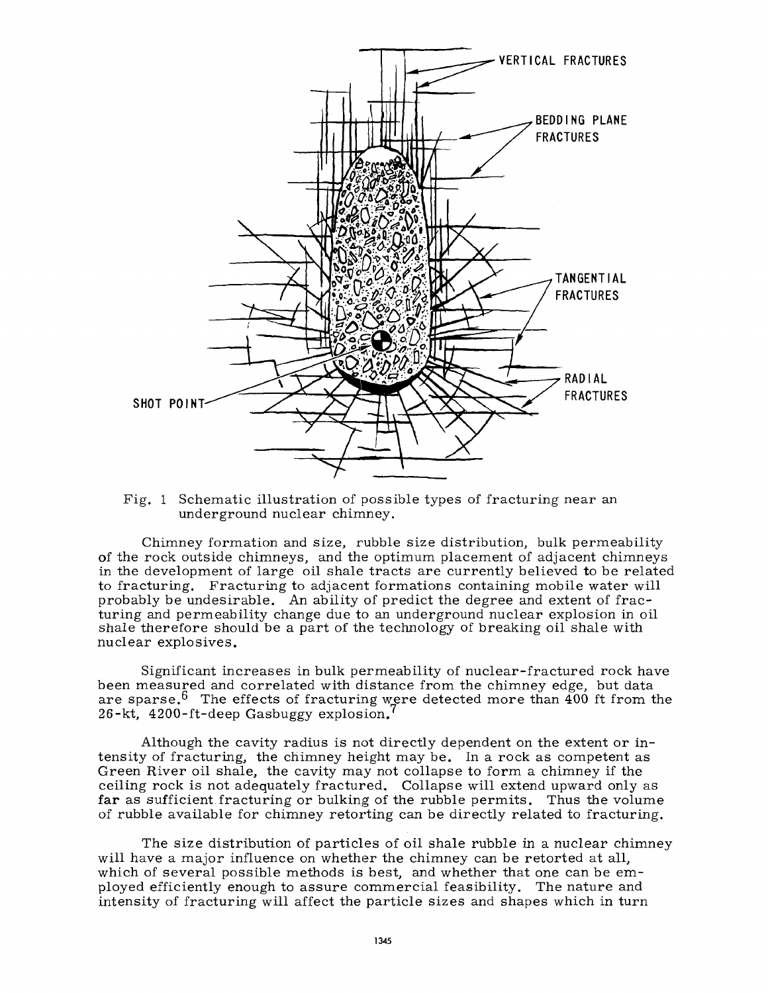

Fig. 1 Schematic illustration of possible types of fracturing near an underground nuclear chimney.

Chimney formation and size, rubble size distribution, bulk permeability of the rock outside chimneys, and the optimum placement of adjacent chimneys in the development of large oil shale tracts are currently believed to be related to fracturing. Fracturing to adjacent formations containing mobile water will probably be undesirable. An ability of predict the degree and extent of fracturing and permeability change due to an underground nuclear explosion in oil shale therefore should be a part of the technology of breaking oil shale with nuclear explosives.

Significant increases in bulk permeability of nuclear-fractured rock have been measured and correlated with distance from the chimney edge, but data are sparse.<sup>6</sup> The effects of fracturing were detected more than 400 ft from the 26-kt, 4200-ft-deep Gasbuggy explosion.

Although the cavity radius is not directly dependent on the extent or intensity of fracturing, the chimney height may be. In a rock as competent as Green River oil shale, the cavity may not collapse to form a chimney if the ceiling rock is not adequately fractured. Collapse will extend upward only as far as sufficient fracturing or bulking of the rubble permits. Thus the volume of rubble available for chimney retorting can be directly related to fracturing.

The size distribution of particles of oil shale rubble in a nuclear chimney will have a major influence on whether the chimney can be retorted at all, which of several possible methods is best, and whether that one can be employed efficiently enough to assure commercial feasibility. The nature and intensity of fracturing will affect the particle sizes and shapes which in turn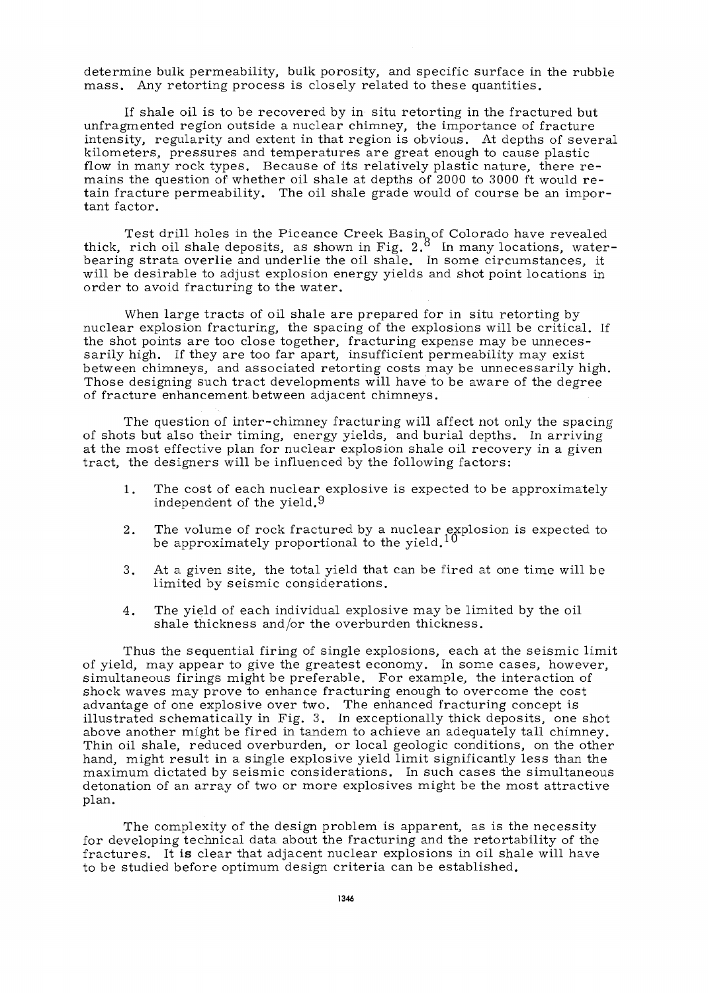determine bulk permeability, bulk porosity, and specific surface in the rubble mass. Any retorting process is closely related to these quantities.

If shale oil is to be recovered by in situ retorting in the fractured but unfragmented region outside a nuclear chimney, the importance of fracture intensity, regularity and extent in that region is obvious. At depths of several kilometers, pressures and temperatures are great enough to cause plastic flow in many rock types. Because of its relatively plastic nature, there remains the question of whether oil shale at depths of 2000 to 3000 ft would retain fracture permeability. The oil shale grade would of course be an important factor.

Test drill holes in the Piceance Creek Basin of Colorado have revealed thick, rich oil shale deposits, as shown in Fig.  $2.8\;$  In many locations, waterbearing strata overlie and underlie the oil shale. In some circumstances, it will be desirable to adjust explosion energy yields and shot point locations in order to avoid fracturing to the water.

When large tracts of oil shale are prepared for in situ retorting by nuclear explosion fracturing, the spacing of the explosions will be critical. If the shot points are too close together, fracturing expense may be unnecessarily high. If they are too far apart, insufficient permeability may exist between chimneys, and associated retorting costs may be unnecessarily high. Those designing such tract developments will have to be aware of the degree of fracture enhancement between adjacent chimneys.

The question of inter-chimney fracturing will affect not only the spacing of shots but also their timing, energy yields, and burial depths. In arriving at the most effective plan for nuclear explosion shale oil recovery in a given tract, the designers will be influenced by the following factors:

- 1. The cost of each nuclear explosive is expected to be approximately independent of the yield.9
- 2. The volume of rock fractured by a nuclear explosion is expected to be approximately proportional to the yield. $^{10}$
- 3. At a given site, the total yield that can be fired at one time will be limited by seismic considerations.
- 4. The yield of each individual explosive may be limited by the oil shale thickness and/or the overburden thickness.

Thus the sequential firing of single explosions, each at the seismic limit of yield, may appear to give the greatest economy. In some cases, however, simultaneous firings might be preferable. For example, the interaction of shock waves may prove to enhance fracturing enough to overcome the cost advantage of one explosive over two. The enhanced fracturing concept is illustrated schematically in Fig. 3. In exceptionally thick deposits, one shot above another might be fired in tandem to achieve an adequately tall chimney. Thin oil shale, reduced overburden, or local geologic conditions, on the other hand, might result in a single explosive yield limit significantly less than the maximum dictated by seismic considerations. In such cases the simultaneous detonation of an array of two or more explosives might be the most attractive plan.

The complexity of the design problem is apparent, as is the necessity for developing technical data about the fracturing and the retortability of the fractures. It is clear that adjacent nuclear explosions in oil shale will have to be studied before optimum design criteria can be established.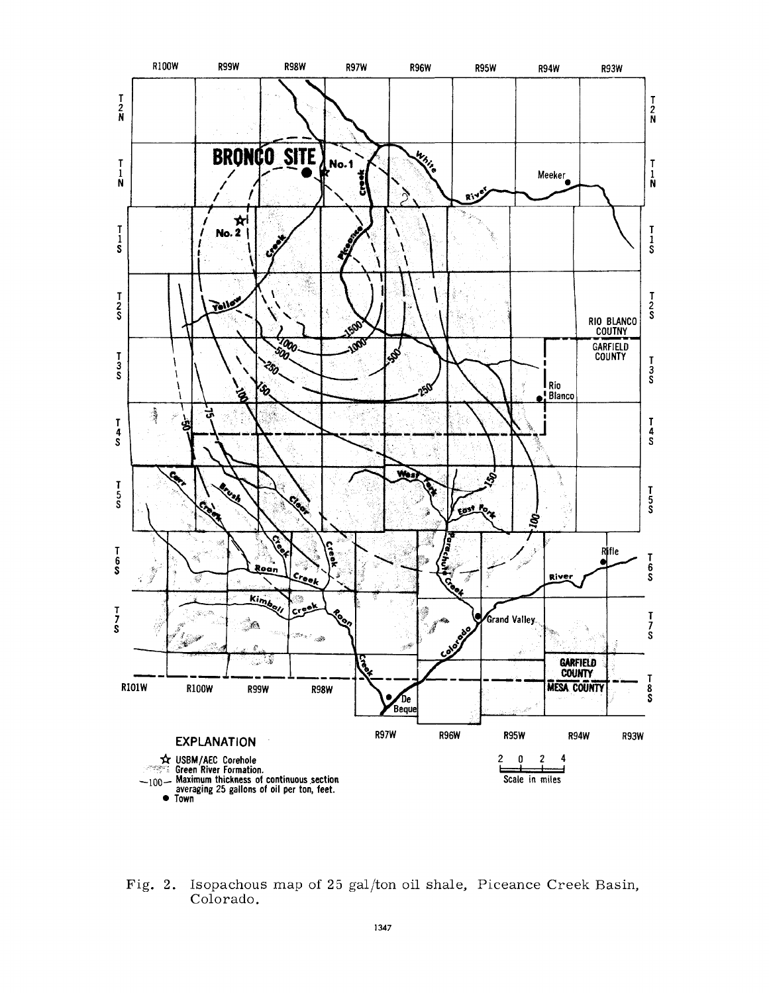

Fig. 2. Isopachous map of 25 gal/ton oil shale, Piceance Creek Basin, Colorado.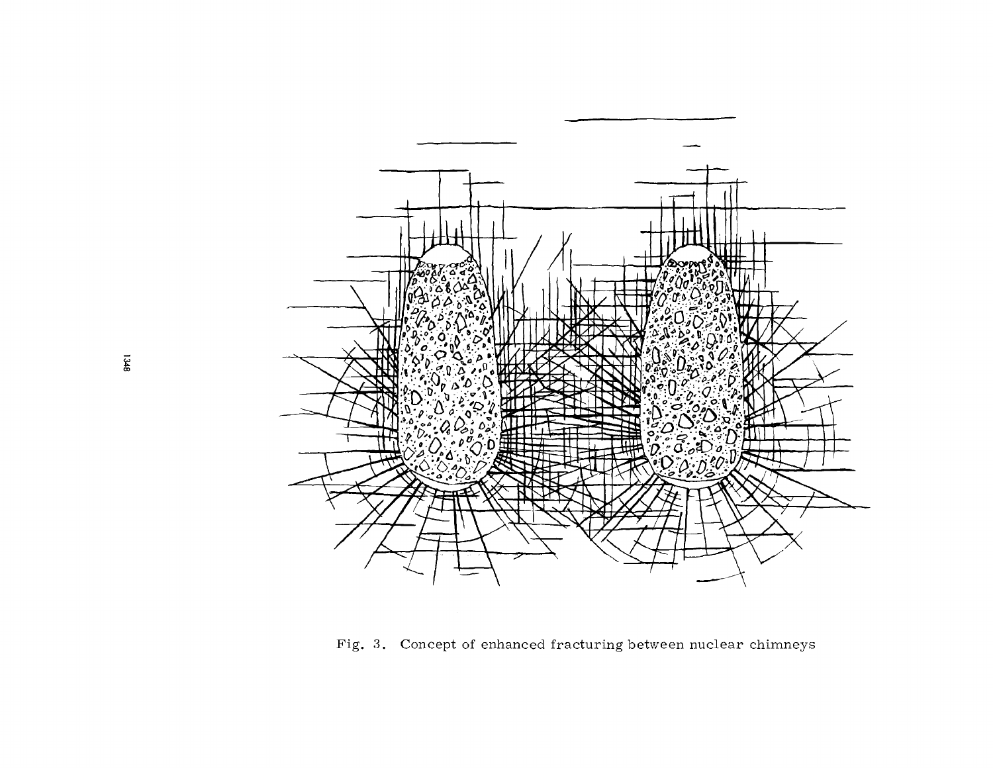

Fig. 3. Concept of enhanced fracturing between nuclear chimneys

 $1348$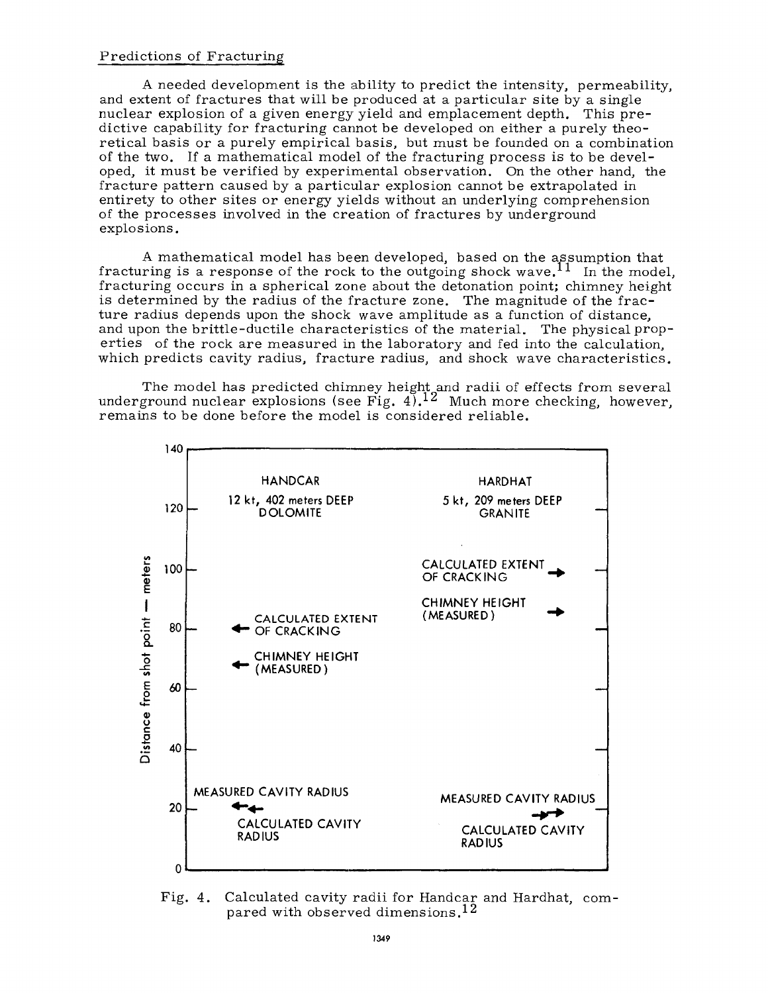## Predictions of Fracturing

A needed development is the ability to predict the intensity, permeability, and extent of fractures that will be produced at a particular site by a single nuclear explosion of a given energy yield and emplacement depth. This predictive capability for fracturing cannot be developed on either a purely theoretical basis or a purely empirical basis, but must be founded on a combination of the two. If a mathematical model of the fracturing process is to be developed, it must be verified by experimental observation. On the other hand, the fracture pattern caused by a particular explosion cannot be extrapolated in entirety to other sites or energy yields without an underlying comprehension of the processes involved in the creation of fractures by underground explosions.

A mathematical model has been developed, based on the assumption that fracturing is a response of the rock to the outgoing shock wave.<sup>11</sup> In the model, fracturing occurs in a spherical zone about the detonation point; chimney height is determined by the radius of the fracture zone. The magnitude of the fracture radius depends upon the shock wave amplitude as a function of distance, and upon the brittle-ductile characteristics of the material. The physical properties of the rock are measured in the laboratory and fed into the calculation, which predicts cavity radius, fracture radius, and shock wave characteristics.

The model has predicted chimney height and radii of effects from several underground nuclear explosions (see Fig.  $4$ ).<sup>12</sup> Much more checking, however, remains to be done before the model is considered reliable.



Fig. 4. Calculated cavity radii for Handcar and Hardhat, compared with observed dimensions.<sup>12</sup>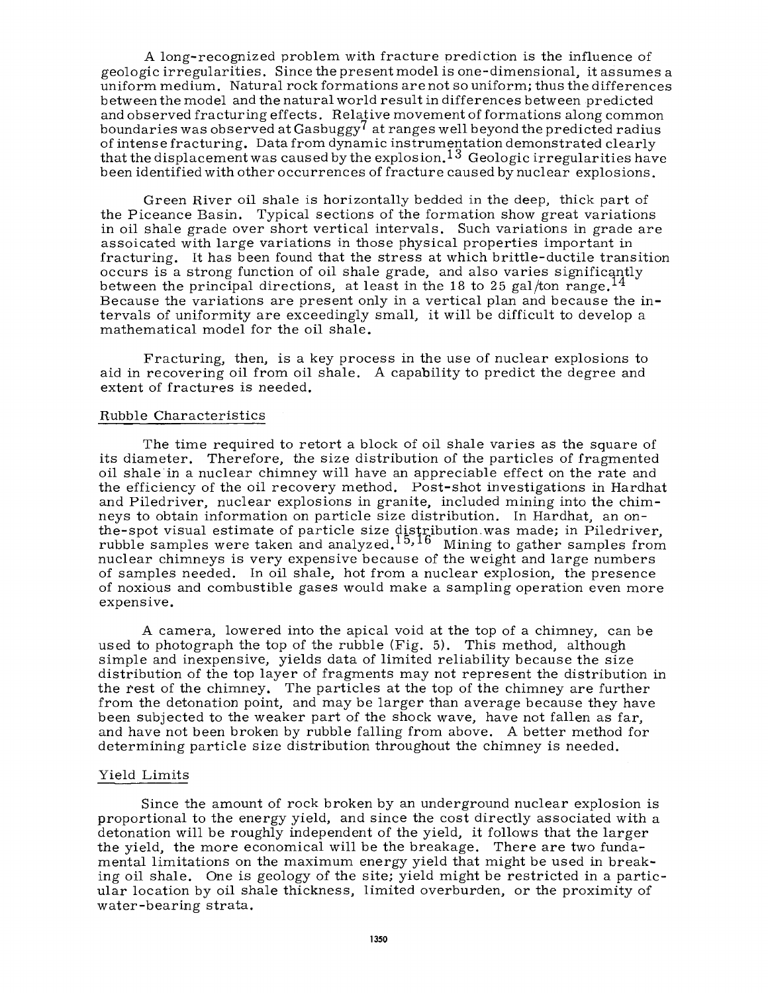A long-recognized problem with fracture prediction is the influence of geologic irregularities. Since the present model is one-dimensional, it assumes a uniform medium. Natural rock formations are not so uniform; thus the differences between the model and the natural world result in differences between predicted and observed fracturing effects. Relative movement of formations along common boundaries was observed at Gasbuggy<sup>7</sup> at ranges well beyond the predicted radius of intense fracturing. Data from dynamic instrumentation demonstrated clearly that the displacement was caused by the explosion.<sup>13</sup> Geologic irregularities have been identified with other occurrences of fracture caused by nuclear explosions.

Green River oil shale is horizontally bedded in the deep, thick part of the Piceance Basin. Typical sections of the formation show great variations in oil shale grade over short vertical intervals. Such variations in grade are assoicated with large variations in those physical properties important in fracturing. It has been found that the stress at which brittle-ductile transition occurs is a strong function of oil shale grade, and also varies significantly between the principal directions, at least in the 18 to 25 gal/ton range.<sup>14</sup> Because the variations are present only in a vertical plan and because the intervals of uniformity are exceedingly small, it will be difficult to develop a mathematical model for the oil shale.

Fracturing, then, is a key process in the use of nuclear explosions to aid in recovering oil from oil shale. A capability to predict the degree and extent of fractures is needed.

### Rubble Characteristics

The time required to retort a block of oil shale varies as the square of its diameter. Therefore, the size distribution of the particles of fragmented oil shale in a nuclear chimney will have an appreciable effect on the rate and the efficiency of the oil recovery method. Post-shot investigations in Hardhat and Piledriver, nuclear explosions in granite, included mining into the chimneys to obtain information on particle size distribution. In Hardhat, an onthe-spot visual estimate of particle size distribution.was made; in Piledriver, rubble samples were taken and analyzed.<sup>15,16</sup> Mining to gather samples from nuclear chimneys is very expensive because of the weight and large numbers of samples needed. In oil shale, hot from a nuclear explosion, the presence of noxious and combustible gases would make a sampling operation even more expensive.

A camera, lowered into the apical void at the top of a chimney, can be used to photograph the top of the rubble (Fig. 5). This method, although simple and inexpensive, yields data of limited reliability because the size distribution of the top layer of fragments may not represent the distribution in the rest of the chimney. The particles at the top of the chimney are further from the detonation point, and may be larger than average because they have been subjected to the weaker part of the shock wave, have not fallen as far, and have not been broken by rubble falling from above. A better method for determining particle size distribution throughout the chimney is needed.

### Yield Limits

Since the amount of rock broken by an underground nuclear explosion is proportional to the energy yield, and since the cost directly associated with a detonation will be roughly independent of the yield, it follows that the larger the yield, the more economical will be the breakage. There are two fundamental limitations on the maximum energy yield that might be used in breaking oil shale. One is geology of the site; yield might be restricted in a particular location by oil shale thickness, limited overburden, or the proximity of water-bearing strata.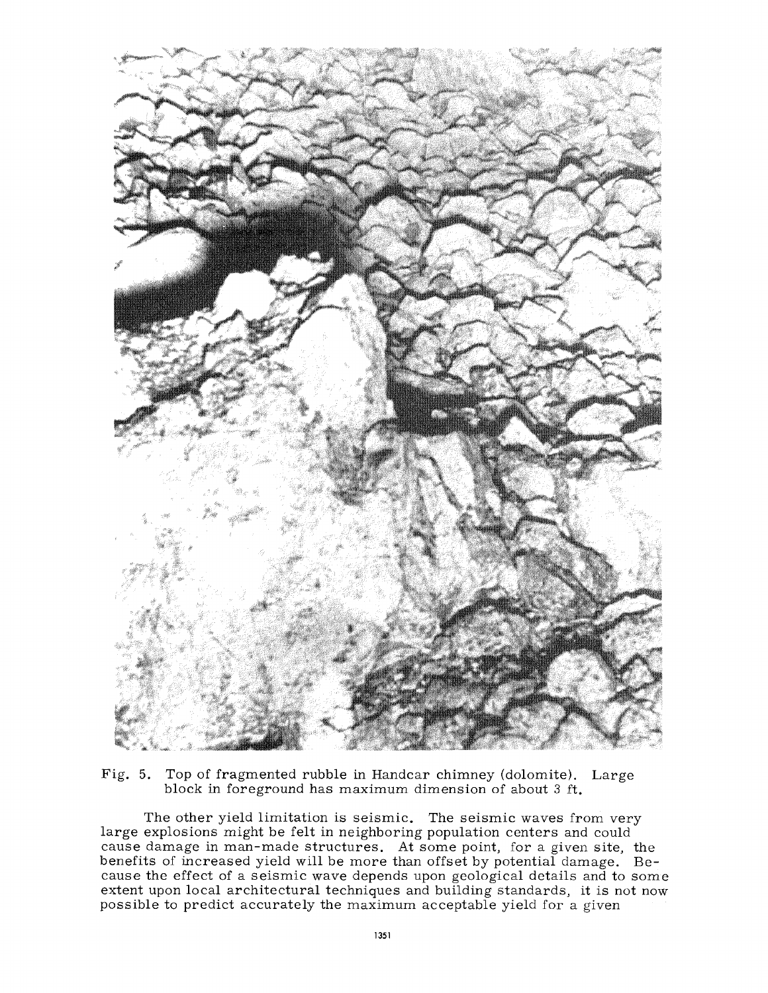

Fig. 5. Top of fragmented rubble in Handcar chimney (dolomite). Large block in foreground has maximum dimension of about 3 ft.

The other yield limitation is seismic. The seismic waves from very large explosions might be felt in neighboring population centers and could cause damage in man-made structures. At some point, for a given site, the benefits of increased yield will be more than offset by potential damage. Because the effect of a seismic wave depends upon geological details and to some extent upon local architectural techniques and building standards, it is not now possible to predict accurately the maximum acceptable yield for a given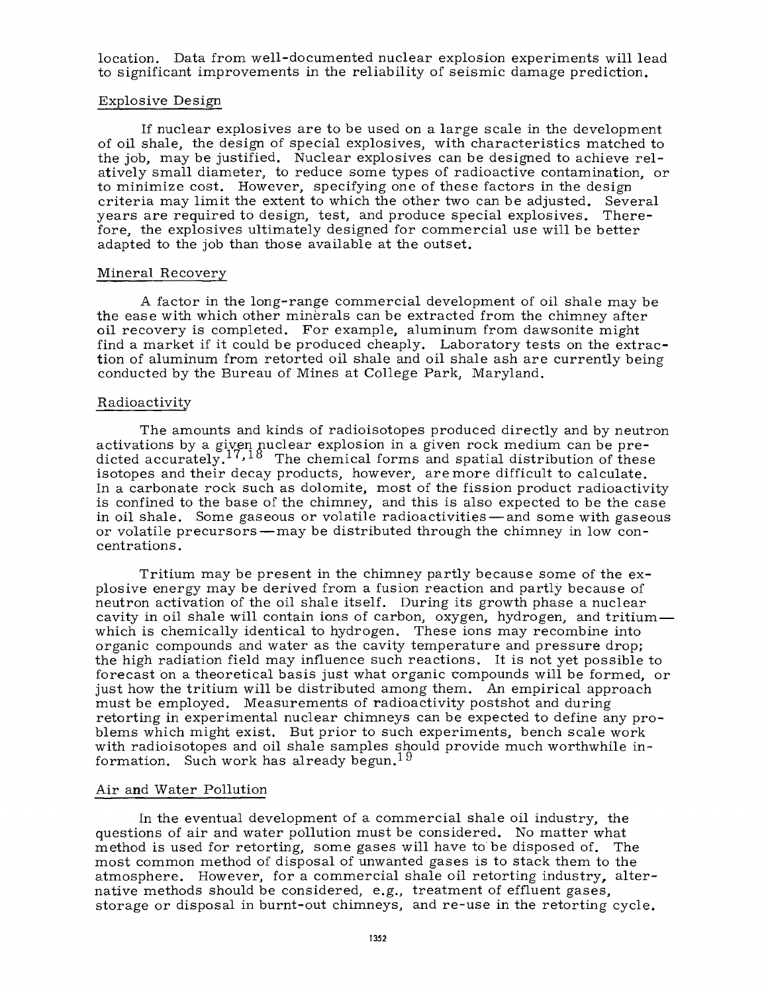location. Data from well-documented nuclear explosion experiments will lead to significant improvements in the reliability of seismic damage prediction.

### Explosive Design

If nuclear explosives are to be used on a large scale in the development of oil shale, the design of special explosives, with characteristics matched to the job, may be justified. Nuclear explosives can be designed to achieve relatively small diameter, to reduce some types of radioactive contamination, or to minimize cost. However, specifying one of these factors in the design criteria may limit the extent to which the other two can be adjusted. Several years are required to design, test, and produce special explosives. Therefore, the explosives ultimately designed for commercial use will be better adapted to the job than those available at the outset.

#### Mineral Recovery

A factor in the long-range commercial development of oil shale may be the ease with which other minerals can be extracted from the chimney after oil recovery is completed. For example, aluminum from dawsonite might find a market if it could be produced cheaply. Laboratory tests on the extraction of aluminum from retorted oil shale and oil shale ash are currently being conducted by the Bureau of Mines at College Park, Maryland.

## Radioactivity

The amounts and kinds of radioisotopes produced directly and by neutron activations by a given nuclear explosion in a given rock medium can be predicted accurately.<sup>17,18</sup> The chemical forms and spatial distribution of these isotopes and their decay products, however, are more difficult to calculate. In a carbonate rock such as dolomite, most of the fission product radioactivity is confined to the base of the chimney, and this is also expected to be the case in oil shale. Some gaseous or volatile radioactivities — and some with gaseous or volatile precursors — may be distributed through the chimney in low concentrations.

Tritium may be present in the chimney partly because some of the explosive energy may be derived from a fusion reaction and partly because of neutron activation of the oil shale itself. During its growth phase a nuclear cavity in oil shale will contain ions of carbon, oxygen, hydrogen, and tritium which is chemically identical to hydrogen. These ions may recombine into organic compounds and water as the cavity temperature and pressure drop; the high radiation field may influence such reactions. It is not yet possible to forecast on a theoretical basis just what organic compounds will be formed, or just how the tritium will be distributed among them. An empirical approach must be employed. Measurements of radioactivity postshot and during retorting in experimental nuclear chimneys can be expected to define any problems which might exist. But prior to such experiments, bench scale work with radioisotopes and oil shale samples should provide much worthwhile inwith radioisotopes and on share samples sim<br>formation. Such work has already begun.<sup>19</sup>

#### Air and Water Pollution

In the eventual development of a commercial shale oil industry, the questions of air and water pollution must be considered. No matter what method is used for retorting, some gases will have to be disposed of. The most common method of disposal of unwanted gases is to stack them to the atmosphere. However, for a commercial shale oil retorting industry, alternative methods should be considered, e.g., treatment of effluent gases, storage or disposal in burnt-out chimneys, and re-use in the retorting cycle.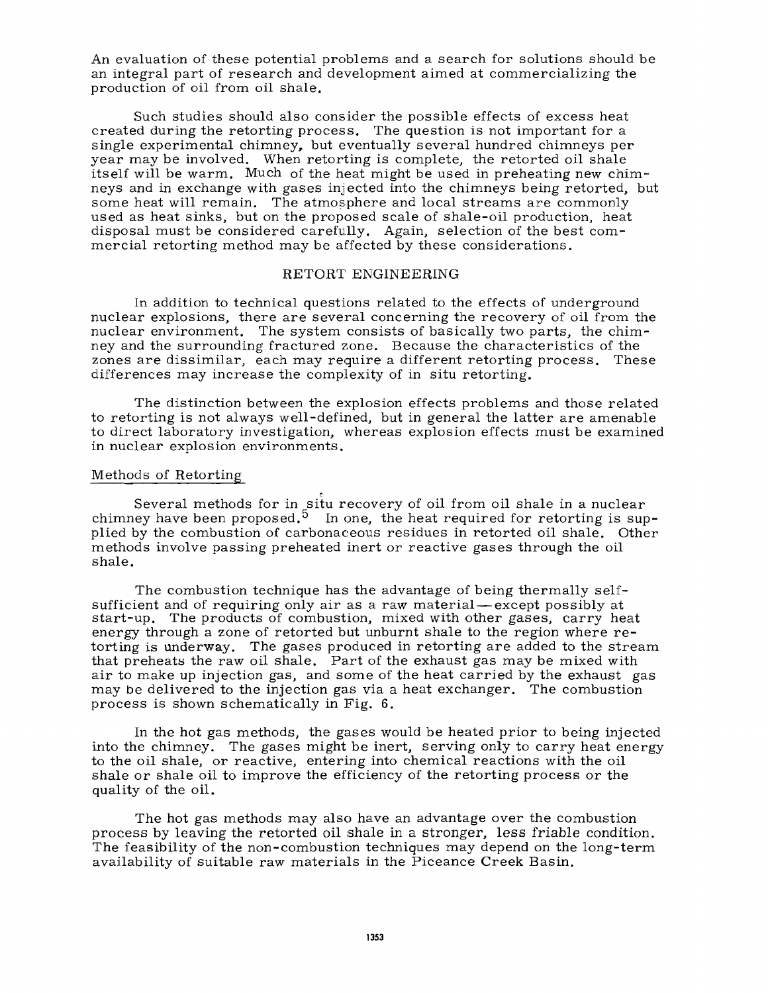An evaluation of these potential problems and a search for solutions should be an integral part of research and development aimed at commercializing the production of oil from oil shale.

Such studies should also consider the possible effects of excess heat created during the retorting process. The question is not important for a single experimental chimney, but eventually several hundred chimneys per year may be involved. When retorting is complete, the retorted oil shale itself will be warm. Much of the heat might be used in preheating new chimneys and in exchange with gases injected into the chimneys being retorted, but some heat will remain. The atmosphere and local streams are commonly used as heat sinks, but on the proposed scale of shale-oil production, heat disposal must be considered carefully. Again, selection of the best commercial retorting method may be affected by these considerations.

## RETORT ENGINEERING

In addition to technical questions related to the effects of underground nuclear explosions, there are several concerning the recovery of oil from the nuclear environment. The system consists of basically two parts, the chimney and the surrounding fractured zone. Because the characteristics of the zones are dissimilar, each may require a different retorting process. These differences may increase the complexity of in situ retorting.

The distinction between the explosion effects problems and those related to retorting is not always well-defined, but in general the latter are amenable to direct laboratory investigation, whereas explosion effects must be examined in nuclear explosion environments.

## Methods of Retorting

Several methods for in situ recovery of oil from oil shale in a nuclear chimney have been proposed.<sup>5</sup> In one, the heat required for retorting is supplied by the combustion of carbonaceous residues in retorted oil shale. Other methods involve passing preheated inert or reactive gases through the oil shale.

The combustion technique has the advantage of being thermally selfsufficient and of requiring only air as a raw material — except possibly at start-up. The products of combustion, mixed with other gases, carry heat energy through a zone of retorted but unburnt shale to the region where retorting is underway. The gases produced in retorting are added to the stream that preheats the raw oil shale. Part of the exhaust gas may be mixed with air to make up injection gas, and some of the heat carried by the exhaust gas may be delivered to the injection gas via a heat exchanger. The combustion process is shown schematically in Fig. 6.

In the hot gas methods, the gases would be heated prior to being injected into the chimney. The gases might be inert, serving only to carry heat energy to the oil shale, or reactive, entering into chemical reactions with the oil shale or shale oil to improve the efficiency of the retorting process or the quality of the oil.

The hot gas methods may also have an advantage over the combustion process by leaving the retorted oil shale in a stronger, less friable condition. The feasibility of the non-combustion techniques may depend on the long-term availability of suitable raw materials in the Piceance Creek Basin.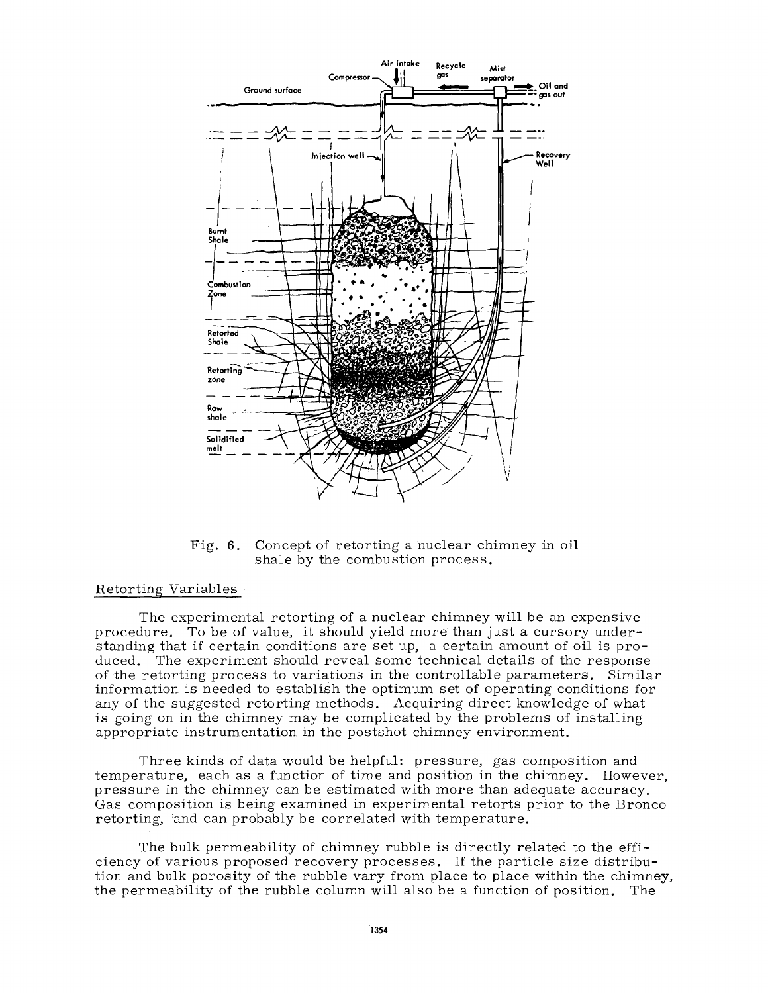

Fig. 6. Concept of retorting a nuclear chimney in oil shale by the combustion process.

## Retorting Variables

The experimental retorting of a nuclear chimney will be an expensive procedure. To be of value, it should yield more than just a cursory understanding that if certain conditions are set up, a certain amount of oil is produced. The experiment should reveal some technical details of the response of the retorting process to variations in the controllable parameters. Similar information is needed to establish the optimum set of operating conditions for any of the suggested retorting methods. Acquiring direct knowledge of what is going on in the chimney may be complicated by the problems of installing appropriate instrumentation in the postshot chimney environment.

Three kinds of data would be helpful: pressure, gas composition and temperature, each as a function of time and position in the chimney. However, pressure in the chimney can be estimated with more than adequate accuracy. Gas composition is being examined in experimental retorts prior to the Bronco retorting, and can probably be correlated with temperature.

The bulk permeability of chimney rubble is directly related to the efficiency of various proposed recovery processes. If the particle size distribution and bulk porosity of the rubble vary from place to place within the chimney, the permeability of the rubble column will also be a function of position. The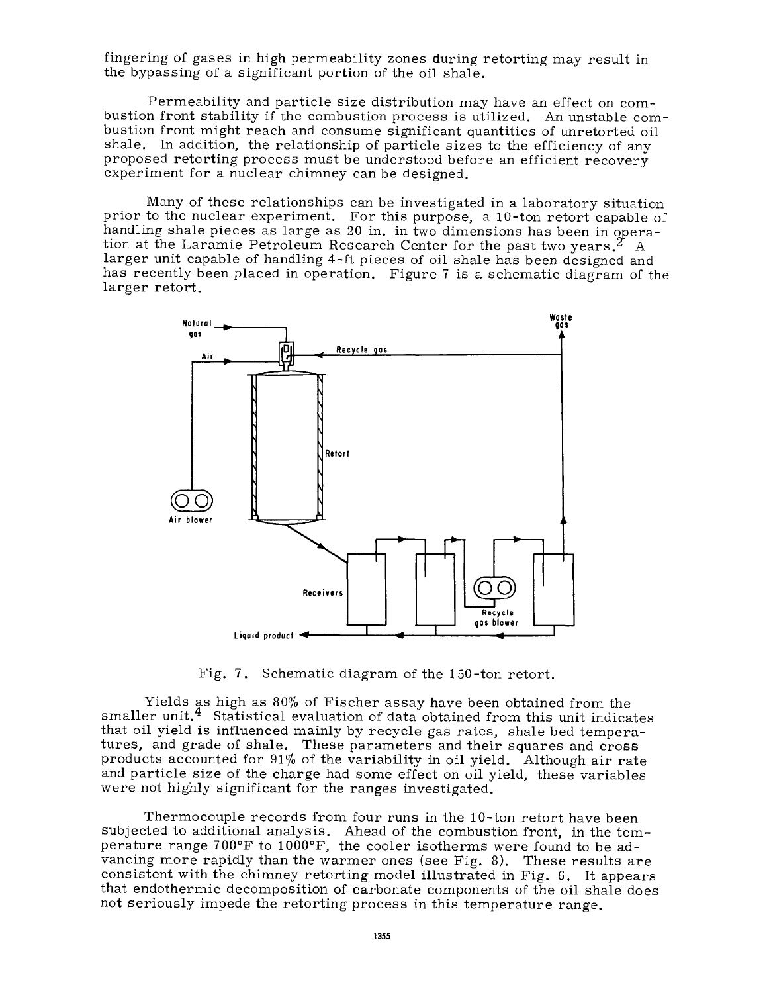fingering of gases in high permeability zones during retorting may result in the bypassing of a significant portion of the oil shale.

Permeability and particle size distribution may have an effect on combustion front stability if the combustion process is utilized. An unstable combustion front might reach and consume significant quantities of unretorted oil shale. In addition, the relationship of particle sizes to the efficiency of any proposed retorting process must be understood before an efficient recovery experiment for a nuclear chimney can be designed.

Many of these relationships can be investigated in a laboratory situation prior to the nuclear experiment. For this purpose, a 10-ton retort capable of handling shale pieces as large as 20 in. in two dimensions has been in operation at the Laramie Petroleum Research Center for the past two years.<sup> $2$ </sup> A larger unit capable of handling 4-ft pieces of oil shale has been designed and has recently been placed in operation. Figure 7 is a schematic diagram of the larger retort.



Fig. 7. Schematic diagram of the 150-ton retort.

Yields as high as 80% of Fischer assay have been obtained from the smaller unit.<sup>4</sup> Statistical evaluation of data obtained from this unit indicates that oil yield is influenced mainly by recycle gas rates, shale bed temperatures, and grade of shale. These parameters and their squares and cross products accounted for 91% of the variability in oil yield. Although air rate and particle size of the charge had some effect on oil yield, these variables were not highly significant for the ranges investigated.

Thermocouple records from four runs in the 10-ton retort have been subjected to additional analysis. Ahead of the combustion front, in the temperature range 700°F to 1000°F, the cooler isotherms were found to be advancing more rapidly than the warmer ones (see Fig. 8). These results are consistent with the chimney retorting model illustrated in Fig. 6. It appears that endothermic decomposition of carbonate components of the oil shale does not seriously impede the retorting process in this temperature range.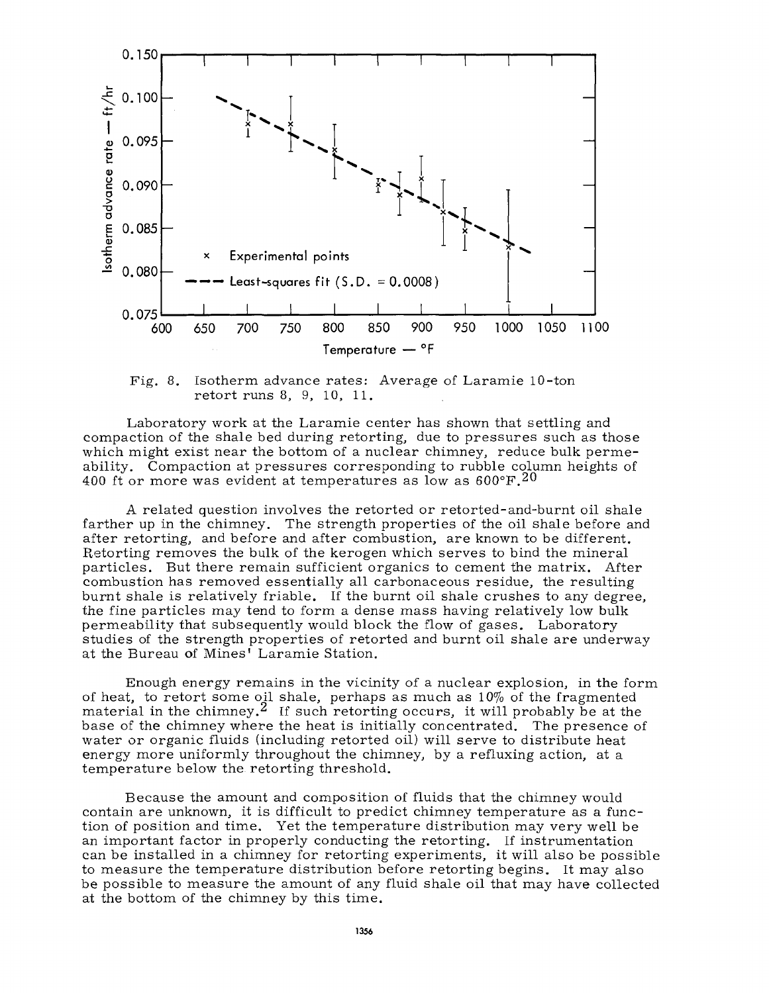

Fig. 8. Isotherm advance rates: Average of Laramie 10-ton retort runs 8, 9, 10, 11.

Laboratory work at the Laramie center has shown that settling and compaction of the shale bed during retorting, due to pressures such as those which might exist near the bottom of a nuclear chimney, reduce bulk permeability. Compaction at pressures corresponding to rubble column heights of 400 ft or more was evident at temperatures as low as  $600^{\circ}$ F.<sup>20</sup>

A related question involves the retorted or retorted-and-burnt oil shale farther up in the chimney. The strength properties of the oil shale before and after retorting, and before and after combustion, are known to be different. Retorting removes the bulk of the kerogen which serves to bind the mineral particles. But there remain sufficient organics to cement the matrix. After combustion has removed essentially all carbonaceous residue, the resulting burnt shale is relatively friable. If the burnt oil shale crushes to any degree, the fine particles may tend to form a dense mass having relatively low bulk permeability that subsequently would block the flow of gases. Laboratory studies of the strength properties of retorted and burnt oil shale are underway at the Bureau of Mines' Laramie Station.

Enough energy remains in the vicinity of a nuclear explosion, in the form of heat, to retort some oil shale, perhaps as much as  $10\%$  of the fragmented material in the chimney.<sup>2</sup> If such retorting occurs, it will probably be at the base of the chimney where the heat is initially concentrated. The presence of water or organic fluids (including retorted oil) will serve to distribute heat energy more uniformly throughout the chimney, by a refluxing action, at a temperature below the retorting threshold.

Because the amount and composition of fluids that the chimney would contain are unknown, it is difficult to predict chimney temperature as a function of position and time. Yet the temperature distribution may very well be an important factor in properly conducting the retorting. If instrumentation can be installed in a chimney for retorting experiments, it will also be possible to measure the temperature distribution before retorting begins. It may also be possible to measure the amount of any fluid shale oil that may have collected at the bottom of the chimney by this time.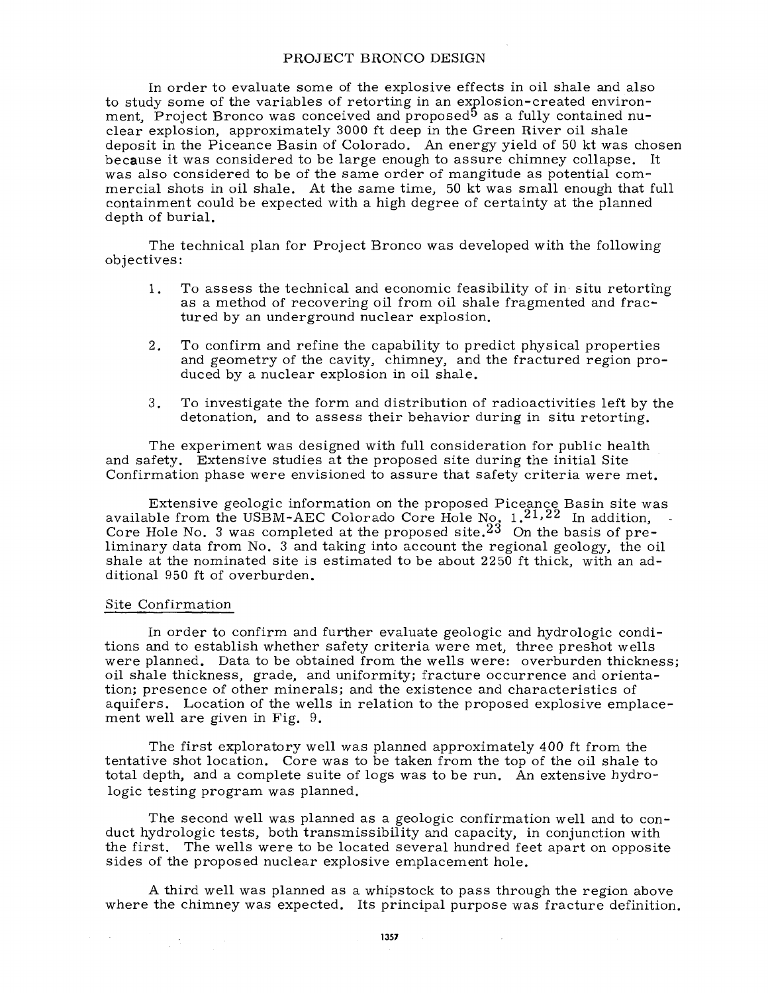## PROJECT BRONCO DESIGN

In order to evaluate some of the explosive effects in oil shale and also to study some of the variables of retorting in an explosion-created environment, Project Bronco was conceived and proposed<sup>5</sup> as a fully contained nuclear explosion, approximately 3000 ft deep in the Green River oil shale deposit in the Piceance Basin of Colorado. An energy yield of 50 kt was chosen because it was considered to be large enough to assure chimney collapse. It was also considered to be of the same order of mangitude as potential commercial shots in oil shale. At the same time, 50 kt was small enough that full containment could be expected with a high degree of certainty at the planned depth of burial.

The technical plan for Project Bronco was developed with the following objectives:

- 1. To assess the technical and economic feasibility of in situ retorting as a method of recovering oil from oil shale fragmented and fractured by an underground nuclear explosion.
- 2. To confirm and refine the capability to predict physical properties and geometry of the cavity, chimney, and the fractured region produced by a nuclear explosion in oil shale.
- 3. To investigate the form and distribution of radioactivities left by the detonation, and to assess their behavior during in situ retorting.

The experiment was designed with full consideration for public health and safety. Extensive studies at the proposed site during the initial Site Confirmation phase were envisioned to assure that safety criteria were met.

Extensive geologic information on the proposed Piceance Basin site was available from the USBM-AEC Colorado Core Hole No.  $1.21.22$  In addition, Core Hole No. 3 was completed at the proposed site. $^{23}\,$  On the basis of preliminary data from No. 3 and taking into account the regional geology, the oil shale at the nominated site is estimated to be about  $2250$  ft thick, with an additional 950 ft of overburden.

## Site Confirmation

 $\mathcal{L}_{\mathcal{A}}$  , where  $\mathcal{L}_{\mathcal{A}}$  and  $\mathcal{L}_{\mathcal{A}}$ 

In order to confirm and further evaluate geologic and hydrologic conditions and to establish whether safety criteria were met, three preshot wells were planned. Data to be obtained from the wells were: overburden thickness; oil shale thickness, grade, and uniformity; fracture occurrence and orientation; presence of other minerals; and the existence and characteristics of aquifers. Location of the wells in relation to the proposed explosive emplacement well are given in Fig. 9.

The first exploratory well was planned approximately 400 ft from the tentative shot location. Core was to be taken from the top of the oil shale to total depth, and a complete suite of logs was to be run. An extensive hydrologic testing program was planned.

The second well was planned as a geologic confirmation well and to conduct hydrologic tests, both transmissibility and capacity, in conjunction with the first. The wells were to be located several hundred feet apart on opposite sides of the proposed nuclear explosive emplacement hole.

A third well was planned as a whipstock to pass through the region above where the chimney was expected. Its principal purpose was fracture definition.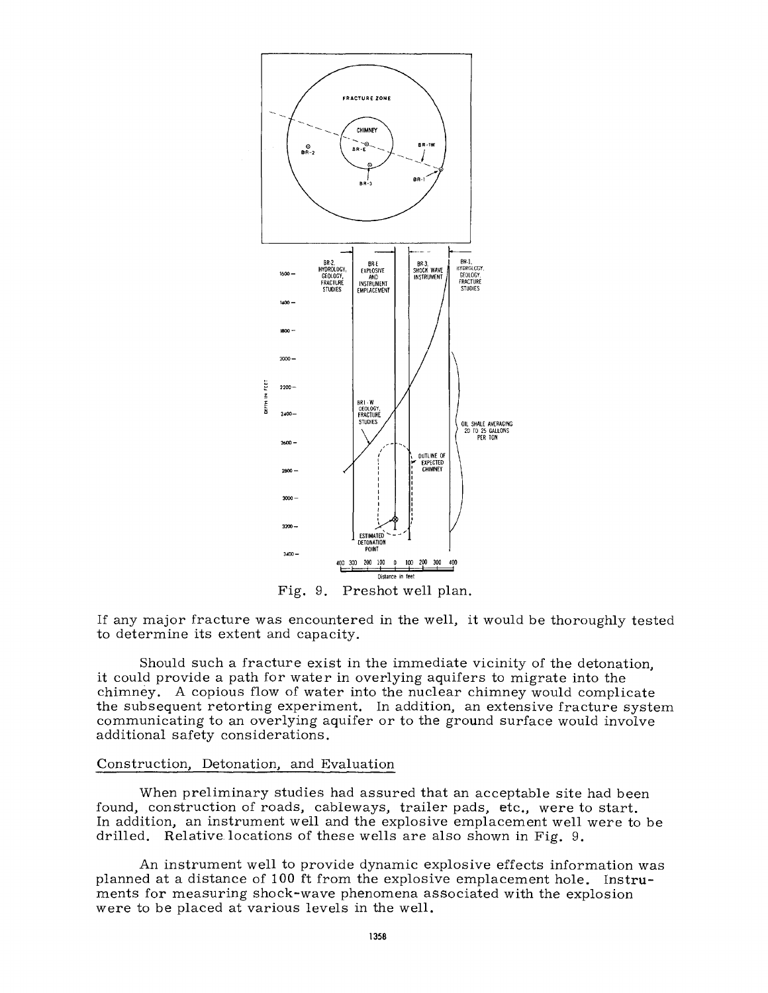

Fig. 9. Preshot well plan.

If any major fracture was encountered in the well, it would be thoroughly tested to determine its extent and capacity.

Should such a fracture exist in the immediate vicinity of the detonation, it could provide a path for water in overlying aquifers to migrate into the chimney. A copious flow of water into the nuclear chimney would complicate the subsequent retorting experiment. In addition, an extensive fracture system communicating to an overlying aquifer or to the ground surface would involve additional safety considerations.

## Construction, Detonation, and Evaluation

When preliminary studies had assured that an acceptable site had been found, construction of roads, cableways, trailer pads, etc., were to start. In addition, an instrument well and the explosive emplacement well were to be drilled. Relative locations of these wells are also shown in Fig. 9.

An instrument well to provide dynamic explosive effects information was planned at a distance of 100 ft from the explosive emplacement hole. Instruments for measuring shock-wave phenomena associated with the explosion were to be placed at various levels in the well.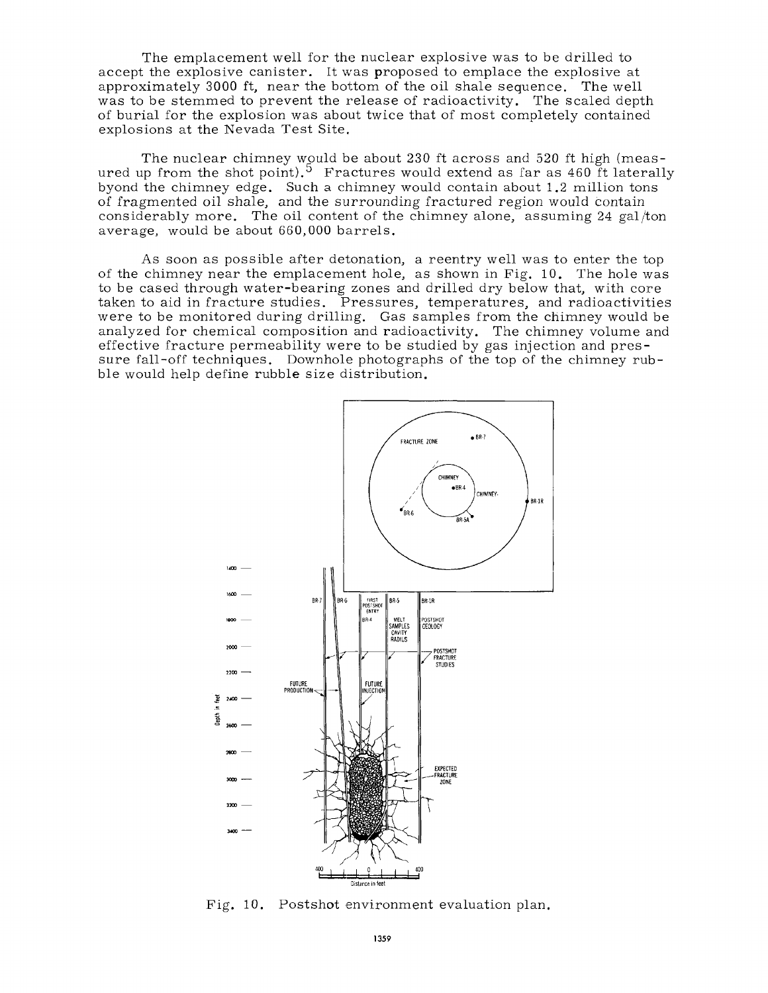The emplacement well for the nuclear explosive was to be drilled to accept the explosive canister. It was proposed to emplace the explosive at approximately 3000 ft, near the bottom of the oil shale sequence. The well was to be stemmed to prevent the release of radioactivity. The scaled depth of burial for the explosion was about twice that of most completely contained explosions at the Nevada Test Site.

The nuclear chimney would be about 230 ft across and 520 ft high (measured up from the shot point).<sup>5</sup> Fractures would extend as far as 460 ft laterally byond the chimney edge. Such a chimney would contain about 1.2 million tons of fragmented oil shale, and the surrounding fractured region would contain considerably more. The oil content of the chimney alone, assuming 24 gal/ton average, would be about 660,000 barrels.

As soon as possible after detonation, a reentry well was to enter the top of the chimney near the emplacement hole, as shown in Fig. 10. The hole was to be cased through water-bearing zones and drilled dry below that, with core taken to aid in fracture studies. Pressures, temperatures, and radioactivities were to be monitored during drilling. Gas samples from the chimney would be analyzed for chemical composition and radioactivity. The chimney volume and effective fracture permeability were to be studied by gas injection and pressure fall-off techniques. Downhole photographs of the top of the chimney rubble would help define rubble size distribution.



Fig. 10. Postshot environment evaluation plan.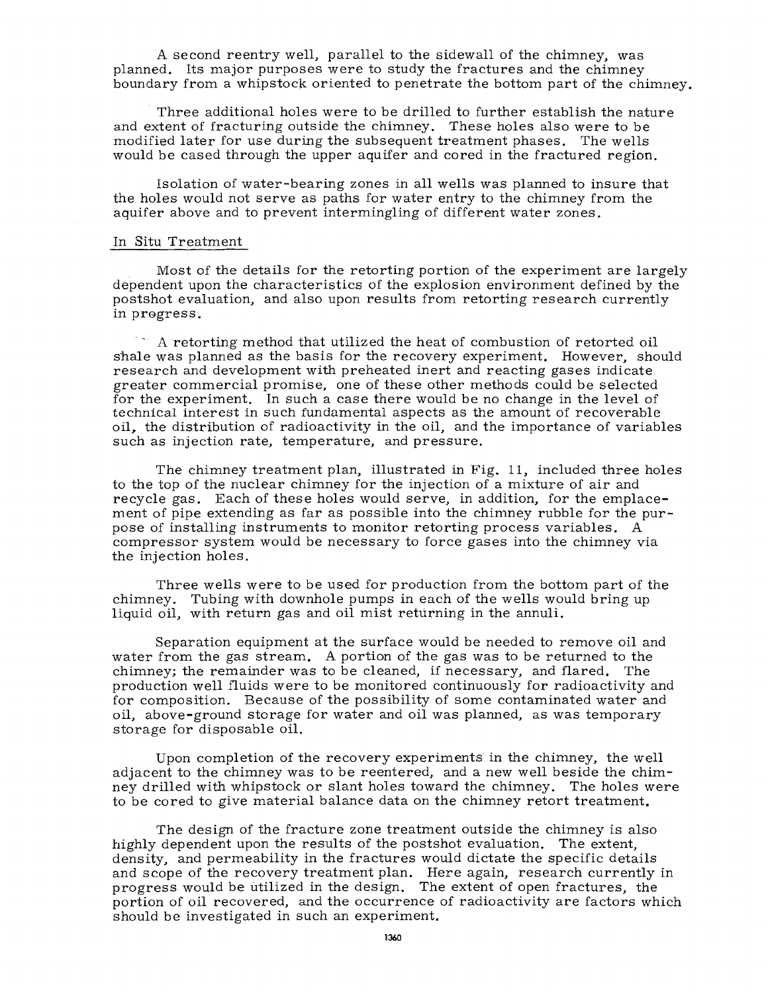A second reentry well, parallel to the sidewall of the chimney, was planned. Its major purposes were to study the fractures and the chimney boundary from a whipstock oriented to penetrate the bottom part of the chimney.

Three additional holes were to be drilled to further establish the nature and extent of fracturing outside the chimney. These holes also were to be modified later for use during the subsequent treatment phases. The wells would be cased through the upper aquifer and cored in the fractured region.

Isolation of water-bearing zones in all wells was planned to insure that the holes would not serve as paths for water entry to the chimney from the aquifer above and to prevent intermingling of different water zones.

#### In Situ Treatment

Most of the details for the retorting portion of the experiment are largely dependent upon the characteristics of the explosion environment defined by the postshot evaluation, and also upon results from retorting research currently in progress.

A retorting method that utilized the heat of combustion of retorted oil shale was planned as the basis for the recovery experiment. However, should research and development with preheated inert and reacting gases indicate greater commercial promise, one of these other methods could be selected for the experiment. In such a case there would be no change in the level of technical interest in such fundamental aspects as the amount of recoverable oil, the distribution of radioactivity in the oil, and the importance of variables such as injection rate, temperature, and pressure.

The chimney treatment plan, illustrated in Fig. 11, included three holes to the top of the nuclear chimney for the injection of a mixture of air and recycle gas. Each of these holes would serve, in addition, for the emplacement of pipe extending as far as possible into the chimney rubble for the purpose of installing instruments to monitor retorting process variables. A compressor system would be necessary to force gases into the chimney via the injection holes.

Three wells were to be used for production from the bottom part of the chimney. Tubing with downhole pumps in each of the wells would bring up liquid oil, with return gas and oil mist returning in the annuli.

Separation equipment at the surface would be needed to remove oil and water from the gas stream. A portion of the gas was to be returned to the chimney; the remainder was to be cleaned, if necessary, and flared. The production well fluids were to be monitored continuously for radioactivity and for composition. Because of the possibility of some contaminated water and oil, above-ground storage for water and oil was planned, as was temporary storage for disposable oil.

Upon completion of the recovery experiments in the chimney, the well adjacent to the chimney was to be reentered, and a new well beside the chimney drilled with whipstock or slant holes toward the chimney. The holes were to be cored to give material balance data on the chimney retort treatment.

The design of the fracture zone treatment outside the chimney is also highly dependent upon the results of the postshot evaluation. The extent, density, and permeability in the fractures would dictate the specific details and scope of the recovery treatment plan. Here again, research currently in progress would be utilized in the design. The extent of open fractures, the portion of oil recovered, and the occurrence of radioactivity are factors which should be investigated in such an experiment.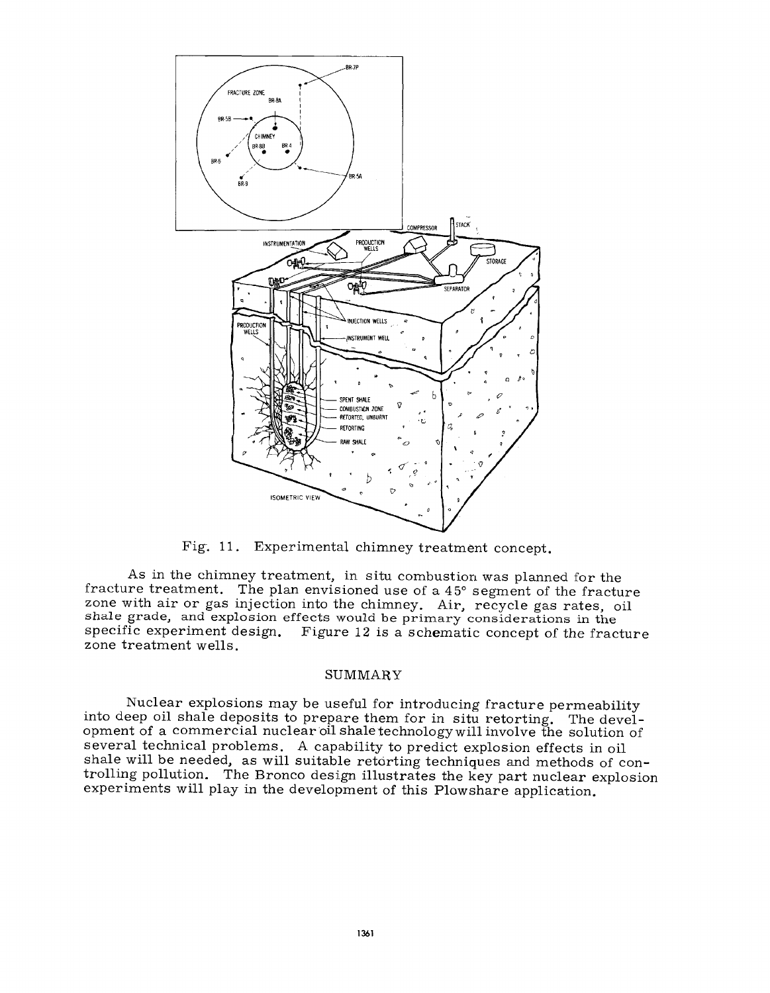

Fig. 11. Experimental chimney treatment concept.

As in the chimney treatment, in situ combustion was planned for the fracture treatment. The plan envisioned use of a 4 5° segment of the fracture zone with air or gas injection into the chimney. Air, recycle gas rates, oil shale grade, and explosion effects would be primary considerations in the specific experiment design. Figure 12 is a schematic concept of the fracture zone treatment wells.

### SUMMARY

Nuclear explosions may be useful for introducing fracture permeability into deep oil shale deposits to prepare them for in situ retorting. The development of a commercial nuclear oil shale technology will involve the solution of several technical problems. A capability to predict explosion effects in oil shale will be needed, as will suitable retorting techniques and methods of controlling pollution. The Bronco design illustrates the key part nuclear explosion experiments will play in the development of this Plowshare application.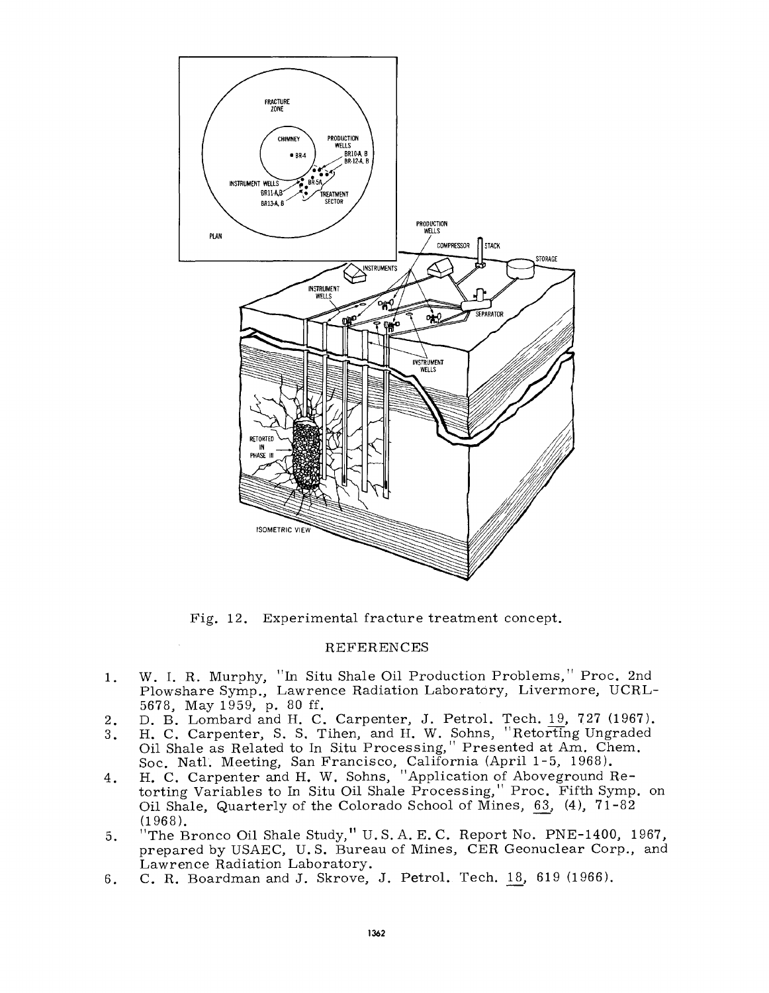

Fig. 12. Experimental fracture treatment concept.

# REFERENCES

- 1. W. I. R. Murphy, "In Situ Shale Oil Production Problems," Proc. 2nd Plowshare Symp., Lawrence Radiation Laboratory, Livermore, UCRL-5678, May 1959, p. 80 ff.
- 2. D. B. Lombard and H. C. Carpenter, J. Petrol. Tech. 19, 727 (1967).
- 3. H. C. Carpenter, S. S. Tihen, and H. W. Sohns, "Retorting Ungraded Oil Shale as Related to In Situ Processing," Presented at Am. Chem. Soc. Natl. Meeting, San Francisco, California (April 1-5, 1968).
- 4. H. C. Carpenter and H. W. Sohns, "Application of Aboveground Retorting Variables to In Situ Oil Shale Processing," Proc. Fifth Symp. on Oil Shale, Quarterly of the Colorado School of Mines, 63,  $(4)$ , 71-82 (1968).
- 5. "The Bronco Oil Shale Study," U.S. A. E. C. Report No. PNE-1400, 1967, prepared by USAEC, U.S. Bureau of Mines, CER Geonuclear Corp., and Lawrence Radiation Laboratory.
- 6. C. R. Boardman and J. Skrove, J. Petrol. Tech. 18, 619 (1966).